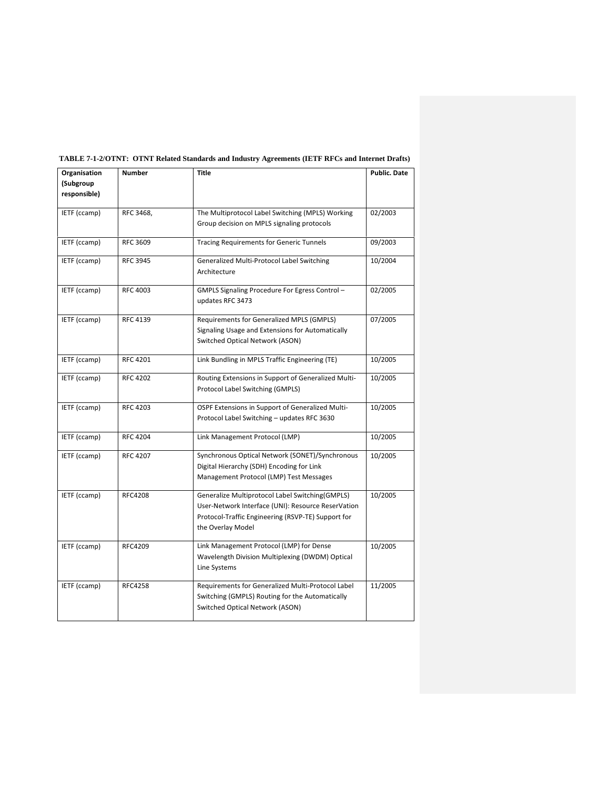| Organisation | <b>Number</b>   | <b>Title</b>                                        | <b>Public. Date</b> |
|--------------|-----------------|-----------------------------------------------------|---------------------|
| (Subgroup    |                 |                                                     |                     |
| responsible) |                 |                                                     |                     |
| IETF (ccamp) | RFC 3468,       | The Multiprotocol Label Switching (MPLS) Working    | 02/2003             |
|              |                 | Group decision on MPLS signaling protocols          |                     |
|              |                 |                                                     |                     |
| IETF (ccamp) | RFC 3609        | <b>Tracing Requirements for Generic Tunnels</b>     | 09/2003             |
| IETF (ccamp) | <b>RFC 3945</b> | Generalized Multi-Protocol Label Switching          | 10/2004             |
|              |                 | Architecture                                        |                     |
| IETF (ccamp) | <b>RFC 4003</b> | GMPLS Signaling Procedure For Egress Control -      | 02/2005             |
|              |                 | updates RFC 3473                                    |                     |
| IETF (ccamp) | RFC 4139        | Requirements for Generalized MPLS (GMPLS)           | 07/2005             |
|              |                 | Signaling Usage and Extensions for Automatically    |                     |
|              |                 | Switched Optical Network (ASON)                     |                     |
|              |                 |                                                     |                     |
| IETF (ccamp) | <b>RFC 4201</b> | Link Bundling in MPLS Traffic Engineering (TE)      | 10/2005             |
| IETF (ccamp) | <b>RFC 4202</b> | Routing Extensions in Support of Generalized Multi- | 10/2005             |
|              |                 | Protocol Label Switching (GMPLS)                    |                     |
| IETF (ccamp) | <b>RFC 4203</b> | OSPF Extensions in Support of Generalized Multi-    | 10/2005             |
|              |                 | Protocol Label Switching - updates RFC 3630         |                     |
| IETF (ccamp) | <b>RFC 4204</b> | Link Management Protocol (LMP)                      | 10/2005             |
| IETF (ccamp) | <b>RFC 4207</b> | Synchronous Optical Network (SONET)/Synchronous     | 10/2005             |
|              |                 | Digital Hierarchy (SDH) Encoding for Link           |                     |
|              |                 | Management Protocol (LMP) Test Messages             |                     |
|              |                 |                                                     |                     |
| IETF (ccamp) | <b>RFC4208</b>  | Generalize Multiprotocol Label Switching (GMPLS)    | 10/2005             |
|              |                 | User-Network Interface (UNI): Resource ReserVation  |                     |
|              |                 | Protocol-Traffic Engineering (RSVP-TE) Support for  |                     |
|              |                 | the Overlay Model                                   |                     |
| IETF (ccamp) | RFC4209         | Link Management Protocol (LMP) for Dense            | 10/2005             |
|              |                 | Wavelength Division Multiplexing (DWDM) Optical     |                     |
|              |                 | Line Systems                                        |                     |
| IETF (ccamp) | <b>RFC4258</b>  | Requirements for Generalized Multi-Protocol Label   | 11/2005             |
|              |                 | Switching (GMPLS) Routing for the Automatically     |                     |
|              |                 | Switched Optical Network (ASON)                     |                     |
|              |                 |                                                     |                     |

## **TABLE 7-1-2/OTNT: OTNT Related Standards and Industry Agreements (IETF RFCs and Internet Drafts)**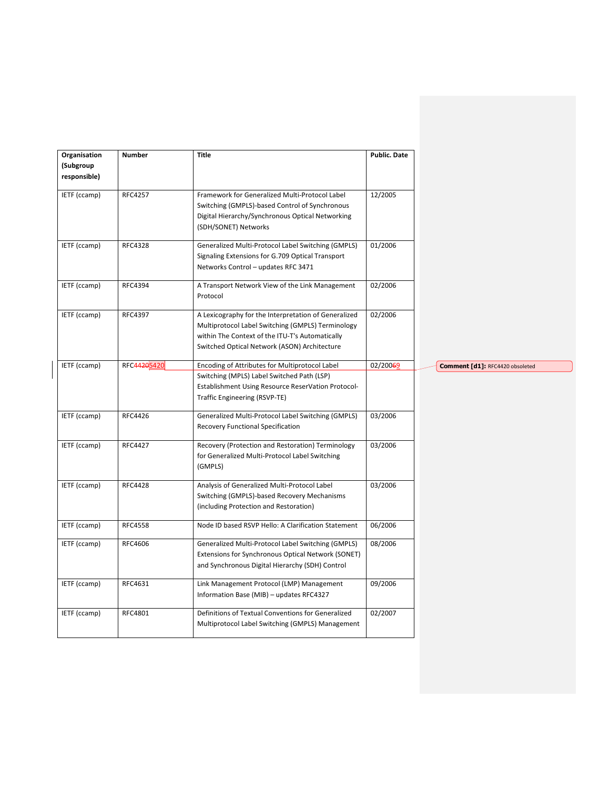| Organisation | Number         | <b>Title</b>                                                                                                                                                                                                 | Public. Date |                                 |
|--------------|----------------|--------------------------------------------------------------------------------------------------------------------------------------------------------------------------------------------------------------|--------------|---------------------------------|
| (Subgroup    |                |                                                                                                                                                                                                              |              |                                 |
| responsible) |                |                                                                                                                                                                                                              |              |                                 |
| IETF (ccamp) | <b>RFC4257</b> | Framework for Generalized Multi-Protocol Label<br>Switching (GMPLS)-based Control of Synchronous<br>Digital Hierarchy/Synchronous Optical Networking<br>(SDH/SONET) Networks                                 | 12/2005      |                                 |
| IETF (ccamp) | <b>RFC4328</b> | Generalized Multi-Protocol Label Switching (GMPLS)<br>Signaling Extensions for G.709 Optical Transport<br>Networks Control - updates RFC 3471                                                                | 01/2006      |                                 |
| IETF (ccamp) | RFC4394        | A Transport Network View of the Link Management<br>Protocol                                                                                                                                                  | 02/2006      |                                 |
| IETF (ccamp) | RFC4397        | A Lexicography for the Interpretation of Generalized<br>Multiprotocol Label Switching (GMPLS) Terminology<br>within The Context of the ITU-T's Automatically<br>Switched Optical Network (ASON) Architecture | 02/2006      |                                 |
| IETF (ccamp) | RFC44205420    | Encoding of Attributes for Multiprotocol Label<br>Switching (MPLS) Label Switched Path (LSP)<br>Establishment Using Resource ReserVation Protocol-<br>Traffic Engineering (RSVP-TE)                          | 02/20069     | Comment [d1]: RFC4420 obsoleted |
| IETF (ccamp) | RFC4426        | Generalized Multi-Protocol Label Switching (GMPLS)<br>Recovery Functional Specification                                                                                                                      | 03/2006      |                                 |
| IETF (ccamp) | <b>RFC4427</b> | Recovery (Protection and Restoration) Terminology<br>for Generalized Multi-Protocol Label Switching<br>(GMPLS)                                                                                               | 03/2006      |                                 |
| IETF (ccamp) | <b>RFC4428</b> | Analysis of Generalized Multi-Protocol Label<br>Switching (GMPLS)-based Recovery Mechanisms<br>(including Protection and Restoration)                                                                        | 03/2006      |                                 |
| IETF (ccamp) | <b>RFC4558</b> | Node ID based RSVP Hello: A Clarification Statement                                                                                                                                                          | 06/2006      |                                 |
| IETF (ccamp) | RFC4606        | Generalized Multi-Protocol Label Switching (GMPLS)<br>Extensions for Synchronous Optical Network (SONET)<br>and Synchronous Digital Hierarchy (SDH) Control                                                  | 08/2006      |                                 |
| IETF (ccamp) | RFC4631        | Link Management Protocol (LMP) Management<br>Information Base (MIB) - updates RFC4327                                                                                                                        | 09/2006      |                                 |
| IETF (ccamp) | RFC4801        | Definitions of Textual Conventions for Generalized<br>Multiprotocol Label Switching (GMPLS) Management                                                                                                       | 02/2007      |                                 |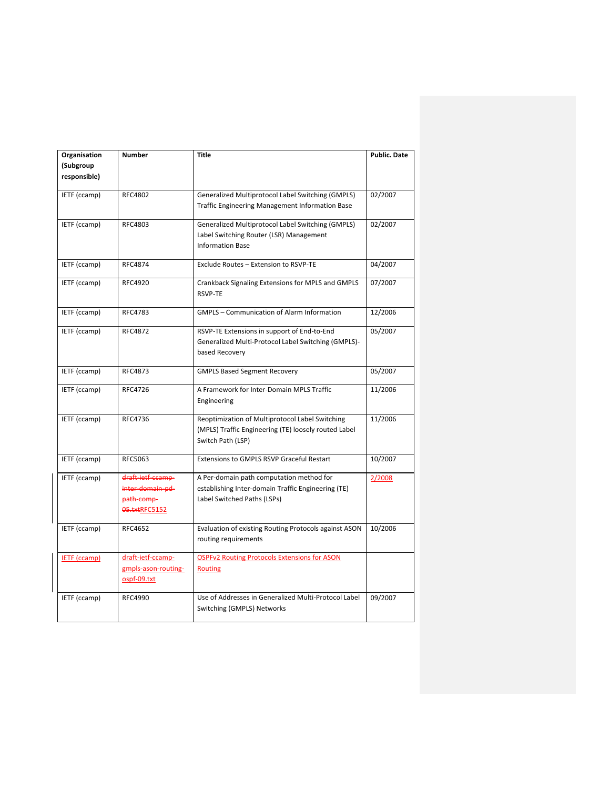| Organisation        | <b>Number</b>       | <b>Title</b>                                          | <b>Public. Date</b> |
|---------------------|---------------------|-------------------------------------------------------|---------------------|
| (Subgroup           |                     |                                                       |                     |
| responsible)        |                     |                                                       |                     |
|                     |                     |                                                       |                     |
| IETF (ccamp)        | <b>RFC4802</b>      | Generalized Multiprotocol Label Switching (GMPLS)     | 02/2007             |
|                     |                     | Traffic Engineering Management Information Base       |                     |
| IETF (ccamp)        | RFC4803             | Generalized Multiprotocol Label Switching (GMPLS)     | 02/2007             |
|                     |                     | Label Switching Router (LSR) Management               |                     |
|                     |                     | <b>Information Base</b>                               |                     |
| IETF (ccamp)        | <b>RFC4874</b>      | Exclude Routes - Extension to RSVP-TE                 | 04/2007             |
|                     |                     |                                                       |                     |
| IETF (ccamp)        | <b>RFC4920</b>      | Crankback Signaling Extensions for MPLS and GMPLS     | 07/2007             |
|                     |                     | <b>RSVP-TE</b>                                        |                     |
| IETF (ccamp)        | <b>RFC4783</b>      | <b>GMPLS - Communication of Alarm Information</b>     | 12/2006             |
|                     |                     |                                                       |                     |
| IETF (ccamp)        | <b>RFC4872</b>      | RSVP-TE Extensions in support of End-to-End           | 05/2007             |
|                     |                     | Generalized Multi-Protocol Label Switching (GMPLS)-   |                     |
|                     |                     | based Recovery                                        |                     |
| IETF (ccamp)        | RFC4873             | <b>GMPLS Based Segment Recovery</b>                   | 05/2007             |
|                     |                     |                                                       |                     |
| IETF (ccamp)        | RFC4726             | A Framework for Inter-Domain MPLS Traffic             | 11/2006             |
|                     |                     | Engineering                                           |                     |
| IETF (ccamp)        | RFC4736             | Reoptimization of Multiprotocol Label Switching       | 11/2006             |
|                     |                     | (MPLS) Traffic Engineering (TE) loosely routed Label  |                     |
|                     |                     | Switch Path (LSP)                                     |                     |
|                     |                     |                                                       |                     |
| IETF (ccamp)        | RFC5063             | <b>Extensions to GMPLS RSVP Graceful Restart</b>      | 10/2007             |
| IETF (ccamp)        | draft-ietf-ccamp-   | A Per-domain path computation method for              | 2/2008              |
|                     | inter domain pd-    | establishing Inter-domain Traffic Engineering (TE)    |                     |
|                     | path-comp-          | Label Switched Paths (LSPs)                           |                     |
|                     | 05.txtRFC5152       |                                                       |                     |
|                     |                     |                                                       |                     |
| IETF (ccamp)        | RFC4652             | Evaluation of existing Routing Protocols against ASON | 10/2006             |
|                     |                     | routing requirements                                  |                     |
| <b>IETF</b> (ccamp) | draft-ietf-ccamp-   | <b>OSPFv2 Routing Protocols Extensions for ASON</b>   |                     |
|                     | gmpls-ason-routing- | Routing                                               |                     |
|                     | ospf-09.txt         |                                                       |                     |
| IETF (ccamp)        | RFC4990             | Use of Addresses in Generalized Multi-Protocol Label  | 09/2007             |
|                     |                     | Switching (GMPLS) Networks                            |                     |
|                     |                     |                                                       |                     |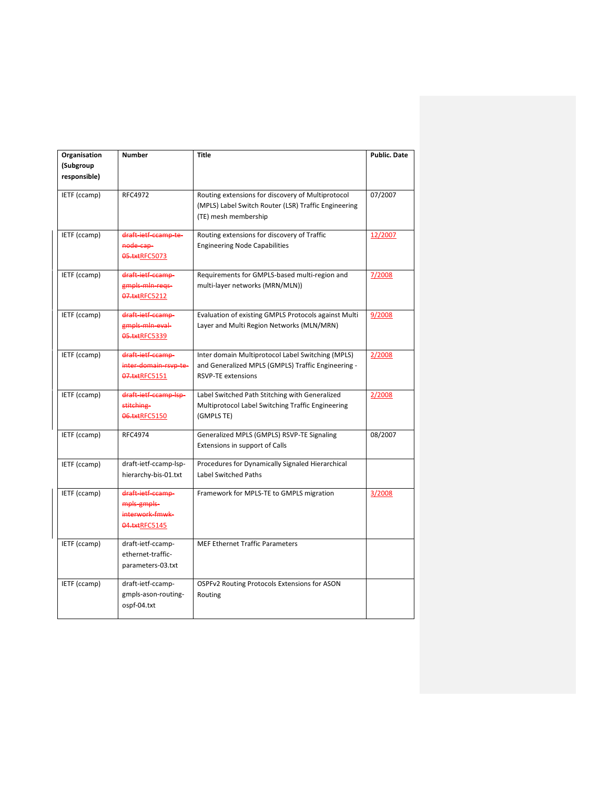| Organisation | Number                                                               | <b>Title</b>                                                                                                                         | <b>Public. Date</b> |
|--------------|----------------------------------------------------------------------|--------------------------------------------------------------------------------------------------------------------------------------|---------------------|
| (Subgroup    |                                                                      |                                                                                                                                      |                     |
| responsible) |                                                                      |                                                                                                                                      |                     |
| IETF (ccamp) | <b>RFC4972</b>                                                       | Routing extensions for discovery of Multiprotocol<br>(MPLS) Label Switch Router (LSR) Traffic Engineering<br>(TE) mesh membership    | 07/2007             |
| IETF (ccamp) | draft ietf ccamp te-<br>node cap-<br>05.txtRFC5073                   | Routing extensions for discovery of Traffic<br><b>Engineering Node Capabilities</b>                                                  | 12/2007             |
| IETF (ccamp) | draft ietf ccamp-<br>gmpls mln regs-<br>07.txtRFC5212                | Requirements for GMPLS-based multi-region and<br>multi-layer networks (MRN/MLN))                                                     | 7/2008              |
| IETF (ccamp) | draft-ietf-ccamp-<br>gmpls mln eval-<br>05.txtRFC5339                | Evaluation of existing GMPLS Protocols against Multi<br>Layer and Multi Region Networks (MLN/MRN)                                    | 9/2008              |
| IETF (ccamp) | draft-ietf-ccamp-<br>inter domain rsvp te-<br>07.txtRFC5151          | Inter domain Multiprotocol Label Switching (MPLS)<br>and Generalized MPLS (GMPLS) Traffic Engineering -<br><b>RSVP-TE extensions</b> | 2/2008              |
| IETF (ccamp) | draft-ietf-ccamp-lsp-<br>stitching-<br>06.txtRFC5150                 | Label Switched Path Stitching with Generalized<br>Multiprotocol Label Switching Traffic Engineering<br>(GMPLS TE)                    | 2/2008              |
| IETF (ccamp) | <b>RFC4974</b>                                                       | Generalized MPLS (GMPLS) RSVP-TE Signaling<br>Extensions in support of Calls                                                         | 08/2007             |
| IETF (ccamp) | draft-ietf-ccamp-lsp-<br>hierarchy-bis-01.txt                        | Procedures for Dynamically Signaled Hierarchical<br>Label Switched Paths                                                             |                     |
| IETF (ccamp) | draft-ietf-ccamp-<br>mpls gmpls-<br>interwork-fmwk-<br>04.txtRFC5145 | Framework for MPLS-TE to GMPLS migration                                                                                             | 3/2008              |
| IETF (ccamp) | draft-ietf-ccamp-<br>ethernet-traffic-<br>parameters-03.txt          | <b>MEF Ethernet Traffic Parameters</b>                                                                                               |                     |
| IETF (ccamp) | draft-ietf-ccamp-<br>gmpls-ason-routing-<br>ospf-04.txt              | OSPFv2 Routing Protocols Extensions for ASON<br>Routing                                                                              |                     |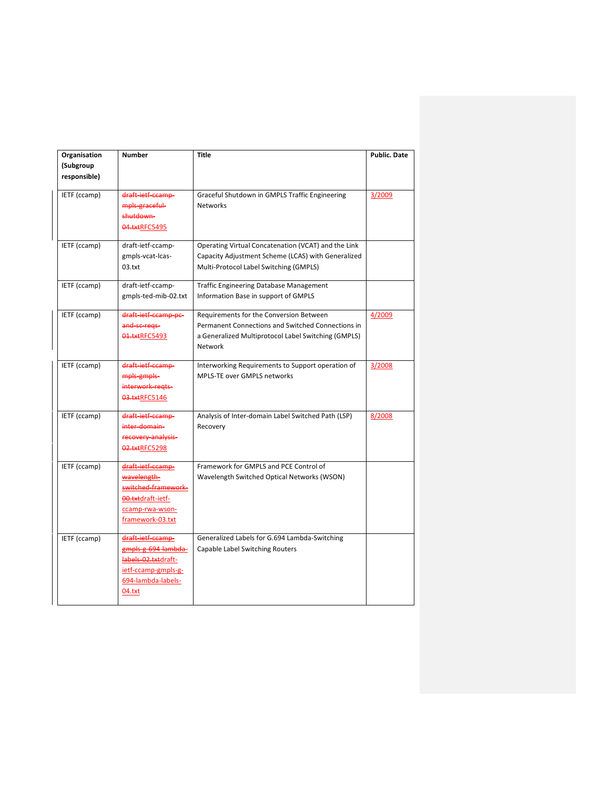| Organisation | <b>Number</b>               | Title                                               | <b>Public. Date</b> |
|--------------|-----------------------------|-----------------------------------------------------|---------------------|
| (Subgroup    |                             |                                                     |                     |
| responsible) |                             |                                                     |                     |
|              |                             |                                                     |                     |
| IETF (ccamp) | draft ietf ccamp-           | Graceful Shutdown in GMPLS Traffic Engineering      | 3/2009              |
|              | mpls-graceful-<br>shutdown- | <b>Networks</b>                                     |                     |
|              |                             |                                                     |                     |
|              | 04.txtRFC5495               |                                                     |                     |
| IETF (ccamp) | draft-ietf-ccamp-           | Operating Virtual Concatenation (VCAT) and the Link |                     |
|              | gmpls-vcat-lcas-            | Capacity Adjustment Scheme (LCAS) with Generalized  |                     |
|              | 03.txt                      | Multi-Protocol Label Switching (GMPLS)              |                     |
|              |                             |                                                     |                     |
| IETF (ccamp) | draft-ietf-ccamp-           | <b>Traffic Engineering Database Management</b>      |                     |
|              | gmpls-ted-mib-02.txt        | Information Base in support of GMPLS                |                     |
| IETF (ccamp) | draft-ietf-ccamp-pc-        | Requirements for the Conversion Between             | 4/2009              |
|              | and se regs-                | Permanent Connections and Switched Connections in   |                     |
|              | 01.txtRFC5493               | a Generalized Multiprotocol Label Switching (GMPLS) |                     |
|              |                             | Network                                             |                     |
|              |                             |                                                     |                     |
| IETF (ccamp) | draft ietf ccamp-           | Interworking Requirements to Support operation of   | 3/2008              |
|              | mpls-gmpls-                 | MPLS-TE over GMPLS networks                         |                     |
|              | interwork regts-            |                                                     |                     |
|              | 03.txtRFC5146               |                                                     |                     |
| IETF (ccamp) | draft ietf ccamp-           | Analysis of Inter-domain Label Switched Path (LSP)  | 8/2008              |
|              | inter-domain-               | Recovery                                            |                     |
|              | recovery analysis           |                                                     |                     |
|              | 02.txtRFC5298               |                                                     |                     |
|              |                             |                                                     |                     |
| IETF (ccamp) | draft-ietf-ccamp-           | Framework for GMPLS and PCE Control of              |                     |
|              | wavelength-                 | Wavelength Switched Optical Networks (WSON)         |                     |
|              | switched-framework-         |                                                     |                     |
|              | 00.txtdraft-ietf-           |                                                     |                     |
|              | ccamp-rwa-wson-             |                                                     |                     |
|              | framework-03.txt            |                                                     |                     |
| IETF (ccamp) | draft-ietf-ccamp-           | Generalized Labels for G.694 Lambda-Switching       |                     |
|              | gmpls g 694 lambda          | Capable Label Switching Routers                     |                     |
|              | labels-02.txtdraft-         |                                                     |                     |
|              | ietf-ccamp-gmpls-g-         |                                                     |                     |
|              | 694-lambda-labels-          |                                                     |                     |
|              | 04.txt                      |                                                     |                     |
|              |                             |                                                     |                     |